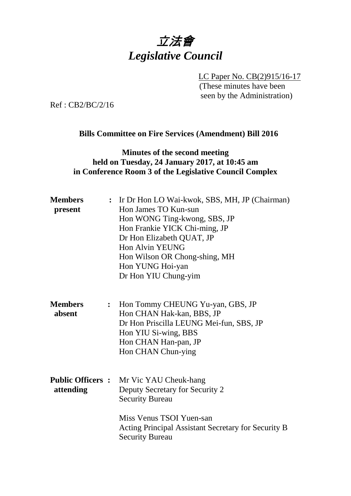# 立法會 *Legislative Council*

LC Paper No. CB(2)915/16-17 (These minutes have been seen by the Administration)

Ref : CB2/BC/2/16

**Bills Committee on Fire Services (Amendment) Bill 2016**

## **Minutes of the second meeting held on Tuesday, 24 January 2017, at 10:45 am in Conference Room 3 of the Legislative Council Complex**

| <b>Members</b><br>present |                  | : Ir Dr Hon LO Wai-kwok, SBS, MH, JP (Chairman)<br>Hon James TO Kun-sun<br>Hon WONG Ting-kwong, SBS, JP<br>Hon Frankie YICK Chi-ming, JP<br>Dr Hon Elizabeth QUAT, JP<br><b>Hon Alvin YEUNG</b><br>Hon Wilson OR Chong-shing, MH<br>Hon YUNG Hoi-yan<br>Dr Hon YIU Chung-yim |
|---------------------------|------------------|------------------------------------------------------------------------------------------------------------------------------------------------------------------------------------------------------------------------------------------------------------------------------|
| <b>Members</b><br>absent  | $\ddot{\bullet}$ | Hon Tommy CHEUNG Yu-yan, GBS, JP<br>Hon CHAN Hak-kan, BBS, JP<br>Dr Hon Priscilla LEUNG Mei-fun, SBS, JP<br>Hon YIU Si-wing, BBS<br>Hon CHAN Han-pan, JP<br>Hon CHAN Chun-ying                                                                                               |
| attending                 |                  | <b>Public Officers :</b> Mr Vic YAU Cheuk-hang<br>Deputy Secretary for Security 2<br><b>Security Bureau</b><br>Miss Venus TSOI Yuen-san<br>Acting Principal Assistant Secretary for Security B<br><b>Security Bureau</b>                                                     |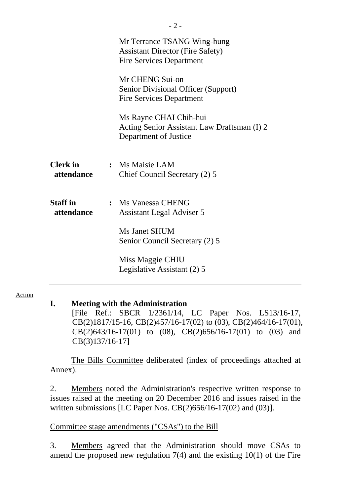|                               | Mr Terrance TSANG Wing-hung<br><b>Assistant Director (Fire Safety)</b><br><b>Fire Services Department</b> |
|-------------------------------|-----------------------------------------------------------------------------------------------------------|
|                               | Mr CHENG Sui-on<br>Senior Divisional Officer (Support)<br><b>Fire Services Department</b>                 |
|                               | Ms Rayne CHAI Chih-hui<br>Acting Senior Assistant Law Draftsman (I) 2<br>Department of Justice            |
| <b>Clerk</b> in<br>attendance | : Ms Maisie LAM<br>Chief Council Secretary (2) 5                                                          |
| <b>Staff</b> in<br>attendance | : Ms Vanessa CHENG<br><b>Assistant Legal Adviser 5</b>                                                    |
|                               | Ms Janet SHUM<br>Senior Council Secretary (2) 5                                                           |
|                               | Miss Maggie CHIU<br>Legislative Assistant (2) 5                                                           |

#### Action

#### **I. Meeting with the Administration**

[File Ref.: SBCR 1/2361/14, LC Paper Nos. LS13/16-17, CB(2)1817/15-16, CB(2)457/16-17(02) to (03), CB(2)464/16-17(01), CB(2)643/16-17(01) to (08), CB(2)656/16-17(01) to (03) and CB(3)137/16-17]

The Bills Committee deliberated (index of proceedings attached at Annex).

2. Members noted the Administration's respective written response to issues raised at the meeting on 20 December 2016 and issues raised in the written submissions [LC Paper Nos. CB(2)656/16-17(02) and (03)].

# Committee stage amendments ("CSAs") to the Bill

3. Members agreed that the Administration should move CSAs to amend the proposed new regulation 7(4) and the existing 10(1) of the Fire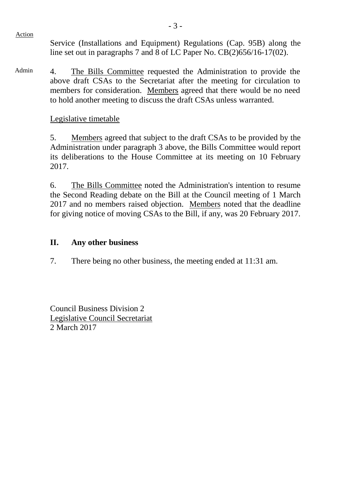Service (Installations and Equipment) Regulations (Cap. 95B) along the line set out in paragraphs 7 and 8 of LC Paper No. CB(2)656/16-17(02).

Admin 4. The Bills Committee requested the Administration to provide the above draft CSAs to the Secretariat after the meeting for circulation to members for consideration. Members agreed that there would be no need to hold another meeting to discuss the draft CSAs unless warranted.

## Legislative timetable

Action

5. Members agreed that subject to the draft CSAs to be provided by the Administration under paragraph 3 above, the Bills Committee would report its deliberations to the House Committee at its meeting on 10 February 2017.

6. The Bills Committee noted the Administration's intention to resume the Second Reading debate on the Bill at the Council meeting of 1 March 2017 and no members raised objection. Members noted that the deadline for giving notice of moving CSAs to the Bill, if any, was 20 February 2017.

### **II. Any other business**

7. There being no other business, the meeting ended at 11:31 am.

Council Business Division 2 Legislative Council Secretariat 2 March 2017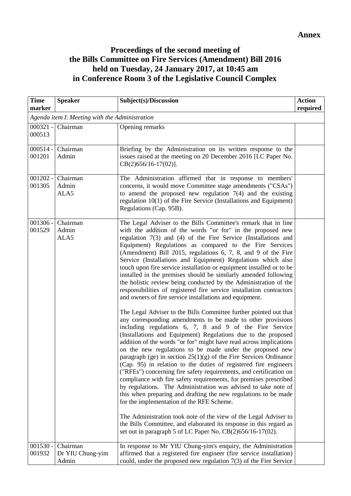# **Proceedings of the second meeting of the Bills Committee on Fire Services (Amendment) Bill 2016 held on Tuesday, 24 January 2017, at 10:45 am in Conference Room 3 of the Legislative Council Complex**

| <b>Time</b>          | <b>Speaker</b>                                 | Subject(s)/Discussion                                                                                                                                                                                                                                                                                                                                                                                                                                                                                                                                                                                                                                                                                                                                                                                                                                                                                                                                                                                                                                                                                                                                                                                                                                                                                                                                                                                                                                                                                                                                                                                                                                                                                                                                                                                                               | <b>Action</b> |
|----------------------|------------------------------------------------|-------------------------------------------------------------------------------------------------------------------------------------------------------------------------------------------------------------------------------------------------------------------------------------------------------------------------------------------------------------------------------------------------------------------------------------------------------------------------------------------------------------------------------------------------------------------------------------------------------------------------------------------------------------------------------------------------------------------------------------------------------------------------------------------------------------------------------------------------------------------------------------------------------------------------------------------------------------------------------------------------------------------------------------------------------------------------------------------------------------------------------------------------------------------------------------------------------------------------------------------------------------------------------------------------------------------------------------------------------------------------------------------------------------------------------------------------------------------------------------------------------------------------------------------------------------------------------------------------------------------------------------------------------------------------------------------------------------------------------------------------------------------------------------------------------------------------------------|---------------|
| marker               |                                                |                                                                                                                                                                                                                                                                                                                                                                                                                                                                                                                                                                                                                                                                                                                                                                                                                                                                                                                                                                                                                                                                                                                                                                                                                                                                                                                                                                                                                                                                                                                                                                                                                                                                                                                                                                                                                                     | required      |
|                      | Agenda item I: Meeting with the Administration |                                                                                                                                                                                                                                                                                                                                                                                                                                                                                                                                                                                                                                                                                                                                                                                                                                                                                                                                                                                                                                                                                                                                                                                                                                                                                                                                                                                                                                                                                                                                                                                                                                                                                                                                                                                                                                     |               |
| $000321 -$<br>000513 | Chairman                                       | Opening remarks                                                                                                                                                                                                                                                                                                                                                                                                                                                                                                                                                                                                                                                                                                                                                                                                                                                                                                                                                                                                                                                                                                                                                                                                                                                                                                                                                                                                                                                                                                                                                                                                                                                                                                                                                                                                                     |               |
| $000514 -$<br>001201 | Chairman<br>Admin                              | Briefing by the Administration on its written response to the<br>issues raised at the meeting on 20 December 2016 [LC Paper No.<br>$CB(2)656/16-17(02)].$                                                                                                                                                                                                                                                                                                                                                                                                                                                                                                                                                                                                                                                                                                                                                                                                                                                                                                                                                                                                                                                                                                                                                                                                                                                                                                                                                                                                                                                                                                                                                                                                                                                                           |               |
| $001202 -$<br>001305 | Chairman<br>Admin<br>ALA5                      | The Administration affirmed that in response to members'<br>concerns, it would move Committee stage amendments ("CSAs")<br>to amend the proposed new regulation $7(4)$ and the existing<br>regulation $10(1)$ of the Fire Service (Installations and Equipment)<br>Regulations (Cap. 95B).                                                                                                                                                                                                                                                                                                                                                                                                                                                                                                                                                                                                                                                                                                                                                                                                                                                                                                                                                                                                                                                                                                                                                                                                                                                                                                                                                                                                                                                                                                                                          |               |
| $001306 -$<br>001529 | Chairman<br>Admin<br>ALA5                      | The Legal Adviser to the Bills Committee's remark that in line<br>with the addition of the words "or for" in the proposed new<br>regulation $7(3)$ and $(4)$ of the Fire Service (Installations and<br>Equipment) Regulations as compared to the Fire Services<br>(Amendment) Bill 2015, regulations 6, 7, 8, and 9 of the Fire<br>Service (Installations and Equipment) Regulations which also<br>touch upon fire service installation or equipment installed or to be<br>installed in the premises should be similarly amended following<br>the holistic review being conducted by the Administration of the<br>responsibilities of registered fire service installation contractors<br>and owners of fire service installations and equipment.<br>The Legal Adviser to the Bills Committee further pointed out that<br>any corresponding amendments to be made to other provisions<br>including regulations 6, 7, 8 and 9 of the Fire Service<br>(Installations and Equipment) Regulations due to the proposed<br>addition of the words "or for" might have read across implications<br>on the new regulations to be made under the proposed new<br>paragraph (ge) in section $25(1)(g)$ of the Fire Services Ordinance<br>(Cap. 95) in relation to the duties of registered fire engineers<br>("RFEs") concerning fire safety requirements, and certification on<br>compliance with fire safety requirements, for premises prescribed<br>by regulations. The Administration was advised to take note of<br>this when preparing and drafting the new regulations to be made<br>for the implementation of the RFE Scheme.<br>The Administration took note of the view of the Legal Adviser to<br>the Bills Committee, and elaborated its response in this regard as<br>set out in paragraph 5 of LC Paper No. CB(2)656/16-17(02). |               |
| $001530 -$<br>001932 | Chairman<br>Dr YIU Chung-yim<br>Admin          | In response to Mr YIU Chung-yim's enquiry, the Administration<br>affirmed that a registered fire engineer (fire service installation)<br>could, under the proposed new regulation $7(3)$ of the Fire Service                                                                                                                                                                                                                                                                                                                                                                                                                                                                                                                                                                                                                                                                                                                                                                                                                                                                                                                                                                                                                                                                                                                                                                                                                                                                                                                                                                                                                                                                                                                                                                                                                        |               |